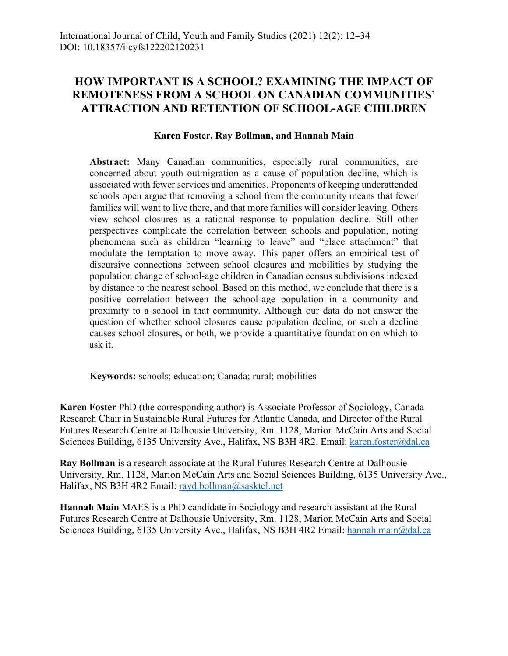# **HOW IMPORTANT IS A SCHOOL? EXAMINING THE IMPACT OF REMOTENESS FROM A SCHOOL ON CANADIAN COMMUNITIES' ATTRACTION AND RETENTION OF SCHOOL-AGE CHILDREN**

## **Karen Foster, Ray Bollman, and Hannah Main**

**Abstract:** Many Canadian communities, especially rural communities, are concerned about youth outmigration as a cause of population decline, which is associated with fewer services and amenities. Proponents of keeping underattended schools open argue that removing a school from the community means that fewer families will want to live there, and that more families will consider leaving. Others view school closures as a rational response to population decline. Still other perspectives complicate the correlation between schools and population, noting phenomena such as children "learning to leave" and "place attachment" that modulate the temptation to move away. This paper offers an empirical test of discursive connections between school closures and mobilities by studying the population change of school-age children in Canadian census subdivisions indexed by distance to the nearest school. Based on this method, we conclude that there is a positive correlation between the school-age population in a community and proximity to a school in that community. Although our data do not answer the question of whether school closures cause population decline, or such a decline causes school closures, or both, we provide a quantitative foundation on which to ask it.

**Keywords:** schools; education; Canada; rural; mobilities

**Karen Foster** PhD (the corresponding author) is Associate Professor of Sociology, Canada Research Chair in Sustainable Rural Futures for Atlantic Canada, and Director of the Rural Futures Research Centre at Dalhousie University, Rm. 1128, Marion McCain Arts and Social Sciences Building, 6135 University Ave., Halifax, NS B3H 4R2. Email: karen.foster@dal.ca

**Ray Bollman** is a research associate at the Rural Futures Research Centre at Dalhousie University, Rm. 1128, Marion McCain Arts and Social Sciences Building, 6135 University Ave., Halifax, NS B3H 4R2 Email: rayd.bollman@sasktel.net

**Hannah Main** MAES is a PhD candidate in Sociology and research assistant at the Rural Futures Research Centre at Dalhousie University, Rm. 1128, Marion McCain Arts and Social Sciences Building, 6135 University Ave., Halifax, NS B3H 4R2 Email: hannah.main@dal.ca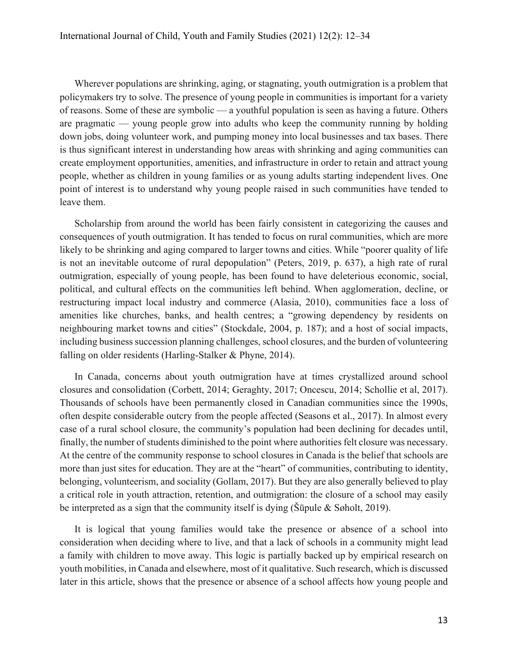Wherever populations are shrinking, aging, or stagnating, youth outmigration is a problem that policymakers try to solve. The presence of young people in communities is important for a variety of reasons. Some of these are symbolic — a youthful population is seen as having a future. Others are pragmatic — young people grow into adults who keep the community running by holding down jobs, doing volunteer work, and pumping money into local businesses and tax bases. There is thus significant interest in understanding how areas with shrinking and aging communities can create employment opportunities, amenities, and infrastructure in order to retain and attract young people, whether as children in young families or as young adults starting independent lives. One point of interest is to understand why young people raised in such communities have tended to leave them.

Scholarship from around the world has been fairly consistent in categorizing the causes and consequences of youth outmigration. It has tended to focus on rural communities, which are more likely to be shrinking and aging compared to larger towns and cities. While "poorer quality of life is not an inevitable outcome of rural depopulation" (Peters, 2019, p. 637), a high rate of rural outmigration, especially of young people, has been found to have deleterious economic, social, political, and cultural effects on the communities left behind. When agglomeration, decline, or restructuring impact local industry and commerce (Alasia, 2010), communities face a loss of amenities like churches, banks, and health centres; a "growing dependency by residents on neighbouring market towns and cities" (Stockdale, 2004, p. 187); and a host of social impacts, including business succession planning challenges, school closures, and the burden of volunteering falling on older residents (Harling-Stalker & Phyne, 2014).

In Canada, concerns about youth outmigration have at times crystallized around school closures and consolidation (Corbett, 2014; Geraghty, 2017; Oncescu, 2014; Schollie et al, 2017). Thousands of schools have been permanently closed in Canadian communities since the 1990s, often despite considerable outcry from the people affected (Seasons et al., 2017). In almost every case of a rural school closure, the community's population had been declining for decades until, finally, the number of students diminished to the point where authorities felt closure was necessary. At the centre of the community response to school closures in Canada is the belief that schools are more than just sites for education. They are at the "heart" of communities, contributing to identity, belonging, volunteerism, and sociality (Gollam, 2017). But they are also generally believed to play a critical role in youth attraction, retention, and outmigration: the closure of a school may easily be interpreted as a sign that the community itself is dying (Šūpule & Søholt, 2019).

It is logical that young families would take the presence or absence of a school into consideration when deciding where to live, and that a lack of schools in a community might lead a family with children to move away. This logic is partially backed up by empirical research on youth mobilities, in Canada and elsewhere, most of it qualitative. Such research, which is discussed later in this article, shows that the presence or absence of a school affects how young people and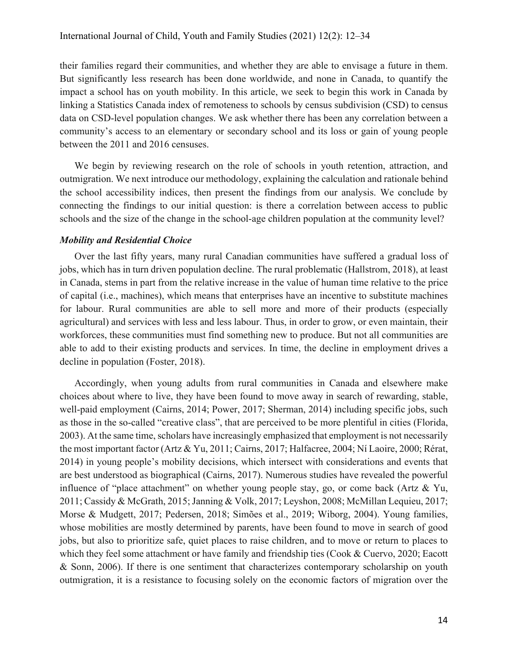their families regard their communities, and whether they are able to envisage a future in them. But significantly less research has been done worldwide, and none in Canada, to quantify the impact a school has on youth mobility. In this article, we seek to begin this work in Canada by linking a Statistics Canada index of remoteness to schools by census subdivision (CSD) to census data on CSD-level population changes. We ask whether there has been any correlation between a community's access to an elementary or secondary school and its loss or gain of young people between the 2011 and 2016 censuses.

We begin by reviewing research on the role of schools in youth retention, attraction, and outmigration. We next introduce our methodology, explaining the calculation and rationale behind the school accessibility indices, then present the findings from our analysis. We conclude by connecting the findings to our initial question: is there a correlation between access to public schools and the size of the change in the school-age children population at the community level?

#### *Mobility and Residential Choice*

Over the last fifty years, many rural Canadian communities have suffered a gradual loss of jobs, which has in turn driven population decline. The rural problematic (Hallstrom, 2018), at least in Canada, stems in part from the relative increase in the value of human time relative to the price of capital (i.e., machines), which means that enterprises have an incentive to substitute machines for labour. Rural communities are able to sell more and more of their products (especially agricultural) and services with less and less labour. Thus, in order to grow, or even maintain, their workforces, these communities must find something new to produce. But not all communities are able to add to their existing products and services. In time, the decline in employment drives a decline in population (Foster, 2018).

Accordingly, when young adults from rural communities in Canada and elsewhere make choices about where to live, they have been found to move away in search of rewarding, stable, well-paid employment (Cairns, 2014; Power, 2017; Sherman, 2014) including specific jobs, such as those in the so-called "creative class", that are perceived to be more plentiful in cities (Florida, 2003). At the same time, scholars have increasingly emphasized that employment is not necessarily the most important factor (Artz & Yu, 2011; Cairns, 2017; Halfacree, 2004; Ní Laoire, 2000; Rérat, 2014) in young people's mobility decisions, which intersect with considerations and events that are best understood as biographical (Cairns, 2017). Numerous studies have revealed the powerful influence of "place attachment" on whether young people stay, go, or come back (Artz & Yu, 2011; Cassidy & McGrath, 2015; Janning & Volk, 2017; Leyshon, 2008; McMillan Lequieu, 2017; Morse & Mudgett, 2017; Pedersen, 2018; Simões et al., 2019; Wiborg, 2004). Young families, whose mobilities are mostly determined by parents, have been found to move in search of good jobs, but also to prioritize safe, quiet places to raise children, and to move or return to places to which they feel some attachment or have family and friendship ties (Cook & Cuervo, 2020; Eacott & Sonn, 2006). If there is one sentiment that characterizes contemporary scholarship on youth outmigration, it is a resistance to focusing solely on the economic factors of migration over the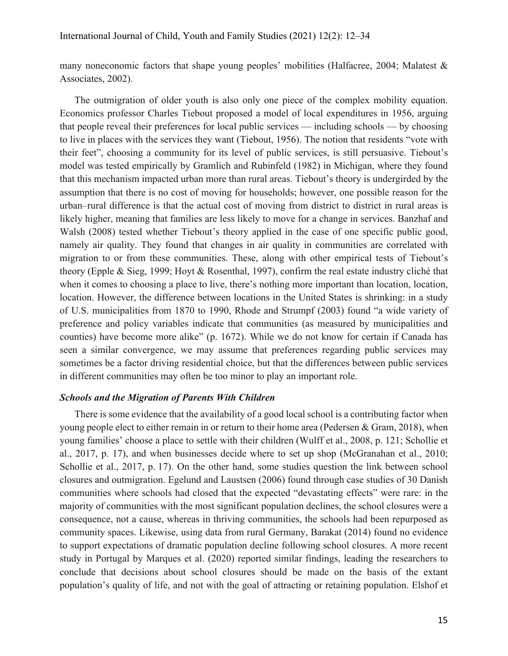many noneconomic factors that shape young peoples' mobilities (Halfacree, 2004; Malatest & Associates, 2002).

The outmigration of older youth is also only one piece of the complex mobility equation. Economics professor Charles Tiebout proposed a model of local expenditures in 1956, arguing that people reveal their preferences for local public services — including schools — by choosing to live in places with the services they want (Tiebout, 1956). The notion that residents "vote with their feet", choosing a community for its level of public services, is still persuasive. Tiebout's model was tested empirically by Gramlich and Rubinfeld (1982) in Michigan, where they found that this mechanism impacted urban more than rural areas. Tiebout's theory is undergirded by the assumption that there is no cost of moving for households; however, one possible reason for the urban–rural difference is that the actual cost of moving from district to district in rural areas is likely higher, meaning that families are less likely to move for a change in services. Banzhaf and Walsh (2008) tested whether Tiebout's theory applied in the case of one specific public good, namely air quality. They found that changes in air quality in communities are correlated with migration to or from these communities. These, along with other empirical tests of Tiebout's theory (Epple & Sieg, 1999; Hoyt & Rosenthal, 1997), confirm the real estate industry cliché that when it comes to choosing a place to live, there's nothing more important than location, location, location. However, the difference between locations in the United States is shrinking: in a study of U.S. municipalities from 1870 to 1990, Rhode and Strumpf (2003) found "a wide variety of preference and policy variables indicate that communities (as measured by municipalities and counties) have become more alike" (p. 1672). While we do not know for certain if Canada has seen a similar convergence, we may assume that preferences regarding public services may sometimes be a factor driving residential choice, but that the differences between public services in different communities may often be too minor to play an important role.

## *Schools and the Migration of Parents With Children*

There is some evidence that the availability of a good local school is a contributing factor when young people elect to either remain in or return to their home area (Pedersen & Gram, 2018), when young families' choose a place to settle with their children (Wulff et al., 2008, p. 121; Schollie et al., 2017, p. 17), and when businesses decide where to set up shop (McGranahan et al., 2010; Schollie et al., 2017, p. 17). On the other hand, some studies question the link between school closures and outmigration. Egelund and Laustsen (2006) found through case studies of 30 Danish communities where schools had closed that the expected "devastating effects" were rare: in the majority of communities with the most significant population declines, the school closures were a consequence, not a cause, whereas in thriving communities, the schools had been repurposed as community spaces. Likewise, using data from rural Germany, Barakat (2014) found no evidence to support expectations of dramatic population decline following school closures. A more recent study in Portugal by Marques et al. (2020) reported similar findings, leading the researchers to conclude that decisions about school closures should be made on the basis of the extant population's quality of life, and not with the goal of attracting or retaining population. Elshof et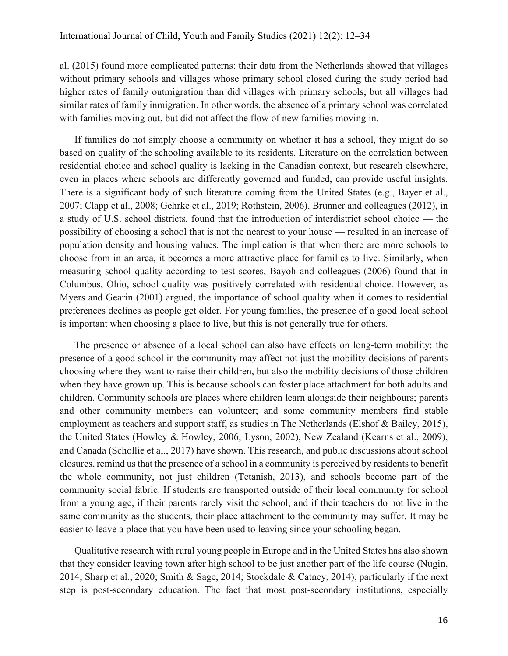al. (2015) found more complicated patterns: their data from the Netherlands showed that villages without primary schools and villages whose primary school closed during the study period had higher rates of family outmigration than did villages with primary schools, but all villages had similar rates of family inmigration. In other words, the absence of a primary school was correlated with families moving out, but did not affect the flow of new families moving in.

If families do not simply choose a community on whether it has a school, they might do so based on quality of the schooling available to its residents. Literature on the correlation between residential choice and school quality is lacking in the Canadian context, but research elsewhere, even in places where schools are differently governed and funded, can provide useful insights. There is a significant body of such literature coming from the United States (e.g., Bayer et al., 2007; Clapp et al., 2008; Gehrke et al., 2019; Rothstein, 2006). Brunner and colleagues (2012), in a study of U.S. school districts, found that the introduction of interdistrict school choice — the possibility of choosing a school that is not the nearest to your house — resulted in an increase of population density and housing values. The implication is that when there are more schools to choose from in an area, it becomes a more attractive place for families to live. Similarly, when measuring school quality according to test scores, Bayoh and colleagues (2006) found that in Columbus, Ohio, school quality was positively correlated with residential choice. However, as Myers and Gearin (2001) argued, the importance of school quality when it comes to residential preferences declines as people get older. For young families, the presence of a good local school is important when choosing a place to live, but this is not generally true for others.

The presence or absence of a local school can also have effects on long-term mobility: the presence of a good school in the community may affect not just the mobility decisions of parents choosing where they want to raise their children, but also the mobility decisions of those children when they have grown up. This is because schools can foster place attachment for both adults and children. Community schools are places where children learn alongside their neighbours; parents and other community members can volunteer; and some community members find stable employment as teachers and support staff, as studies in The Netherlands (Elshof & Bailey, 2015), the United States (Howley & Howley, 2006; Lyson, 2002), New Zealand (Kearns et al., 2009), and Canada (Schollie et al., 2017) have shown. This research, and public discussions about school closures, remind us that the presence of a school in a community is perceived by residents to benefit the whole community, not just children (Tetanish, 2013), and schools become part of the community social fabric. If students are transported outside of their local community for school from a young age, if their parents rarely visit the school, and if their teachers do not live in the same community as the students, their place attachment to the community may suffer. It may be easier to leave a place that you have been used to leaving since your schooling began.

Qualitative research with rural young people in Europe and in the United States has also shown that they consider leaving town after high school to be just another part of the life course (Nugin, 2014; Sharp et al., 2020; Smith & Sage, 2014; Stockdale & Catney, 2014), particularly if the next step is post-secondary education. The fact that most post-secondary institutions, especially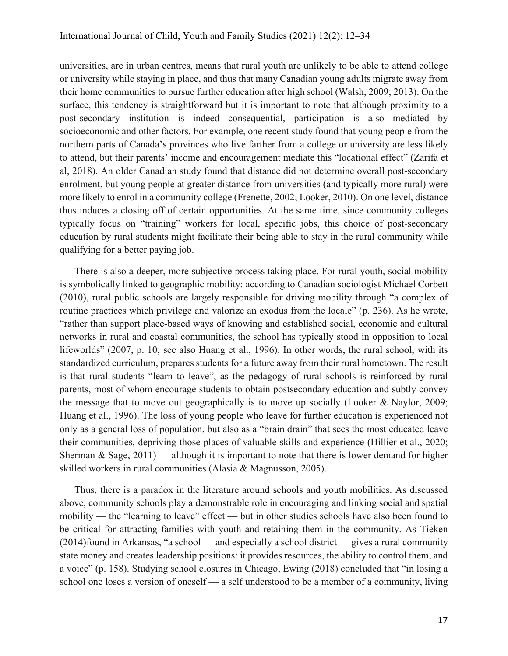universities, are in urban centres, means that rural youth are unlikely to be able to attend college or university while staying in place, and thus that many Canadian young adults migrate away from their home communities to pursue further education after high school (Walsh, 2009; 2013). On the surface, this tendency is straightforward but it is important to note that although proximity to a post-secondary institution is indeed consequential, participation is also mediated by socioeconomic and other factors. For example, one recent study found that young people from the northern parts of Canada's provinces who live farther from a college or university are less likely to attend, but their parents' income and encouragement mediate this "locational effect" (Zarifa et al, 2018). An older Canadian study found that distance did not determine overall post-secondary enrolment, but young people at greater distance from universities (and typically more rural) were more likely to enrol in a community college (Frenette, 2002; Looker, 2010). On one level, distance thus induces a closing off of certain opportunities. At the same time, since community colleges typically focus on "training" workers for local, specific jobs, this choice of post-secondary education by rural students might facilitate their being able to stay in the rural community while qualifying for a better paying job.

There is also a deeper, more subjective process taking place. For rural youth, social mobility is symbolically linked to geographic mobility: according to Canadian sociologist Michael Corbett (2010), rural public schools are largely responsible for driving mobility through "a complex of routine practices which privilege and valorize an exodus from the locale" (p. 236). As he wrote, "rather than support place-based ways of knowing and established social, economic and cultural networks in rural and coastal communities, the school has typically stood in opposition to local lifeworlds" (2007, p. 10; see also Huang et al., 1996). In other words, the rural school, with its standardized curriculum, prepares students for a future away from their rural hometown. The result is that rural students "learn to leave", as the pedagogy of rural schools is reinforced by rural parents, most of whom encourage students to obtain postsecondary education and subtly convey the message that to move out geographically is to move up socially (Looker & Naylor, 2009; Huang et al., 1996). The loss of young people who leave for further education is experienced not only as a general loss of population, but also as a "brain drain" that sees the most educated leave their communities, depriving those places of valuable skills and experience (Hillier et al., 2020; Sherman & Sage,  $2011$ ) — although it is important to note that there is lower demand for higher skilled workers in rural communities (Alasia & Magnusson, 2005).

Thus, there is a paradox in the literature around schools and youth mobilities. As discussed above, community schools play a demonstrable role in encouraging and linking social and spatial mobility — the "learning to leave" effect — but in other studies schools have also been found to be critical for attracting families with youth and retaining them in the community. As Tieken (2014)found in Arkansas, "a school — and especially a school district — gives a rural community state money and creates leadership positions: it provides resources, the ability to control them, and a voice" (p. 158). Studying school closures in Chicago, Ewing (2018) concluded that "in losing a school one loses a version of oneself — a self understood to be a member of a community, living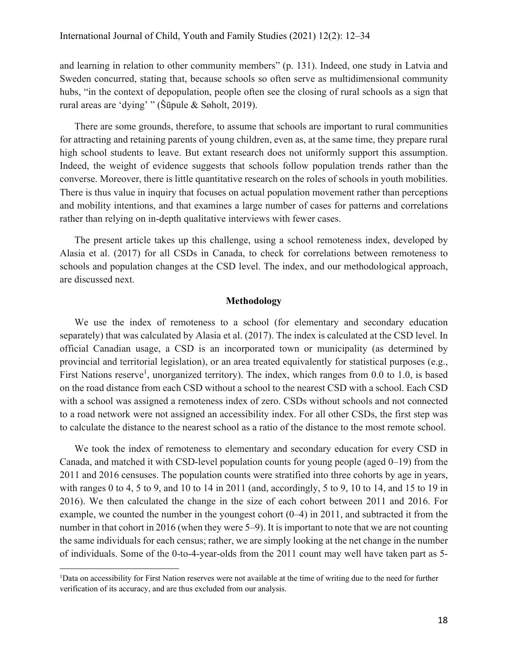and learning in relation to other community members" (p. 131). Indeed, one study in Latvia and Sweden concurred, stating that, because schools so often serve as multidimensional community hubs, "in the context of depopulation, people often see the closing of rural schools as a sign that rural areas are 'dying' " (Šūpule & Søholt, 2019).

There are some grounds, therefore, to assume that schools are important to rural communities for attracting and retaining parents of young children, even as, at the same time, they prepare rural high school students to leave. But extant research does not uniformly support this assumption. Indeed, the weight of evidence suggests that schools follow population trends rather than the converse. Moreover, there is little quantitative research on the roles of schools in youth mobilities. There is thus value in inquiry that focuses on actual population movement rather than perceptions and mobility intentions, and that examines a large number of cases for patterns and correlations rather than relying on in-depth qualitative interviews with fewer cases.

The present article takes up this challenge, using a school remoteness index, developed by Alasia et al. (2017) for all CSDs in Canada, to check for correlations between remoteness to schools and population changes at the CSD level. The index, and our methodological approach, are discussed next.

### **Methodology**

We use the index of remoteness to a school (for elementary and secondary education separately) that was calculated by Alasia et al. (2017). The index is calculated at the CSD level. In official Canadian usage, a CSD is an incorporated town or municipality (as determined by provincial and territorial legislation), or an area treated equivalently for statistical purposes (e.g., First Nations reserve<sup>1</sup>, unorganized territory). The index, which ranges from 0.0 to 1.0, is based on the road distance from each CSD without a school to the nearest CSD with a school. Each CSD with a school was assigned a remoteness index of zero. CSDs without schools and not connected to a road network were not assigned an accessibility index. For all other CSDs, the first step was to calculate the distance to the nearest school as a ratio of the distance to the most remote school.

We took the index of remoteness to elementary and secondary education for every CSD in Canada, and matched it with CSD-level population counts for young people (aged 0–19) from the 2011 and 2016 censuses. The population counts were stratified into three cohorts by age in years, with ranges 0 to 4, 5 to 9, and 10 to 14 in 2011 (and, accordingly, 5 to 9, 10 to 14, and 15 to 19 in 2016). We then calculated the change in the size of each cohort between 2011 and 2016. For example, we counted the number in the youngest cohort (0–4) in 2011, and subtracted it from the number in that cohort in 2016 (when they were 5–9). It is important to note that we are not counting the same individuals for each census; rather, we are simply looking at the net change in the number of individuals. Some of the 0-to-4-year-olds from the 2011 count may well have taken part as 5-

<sup>&</sup>lt;sup>1</sup>Data on accessibility for First Nation reserves were not available at the time of writing due to the need for further verification of its accuracy, and are thus excluded from our analysis.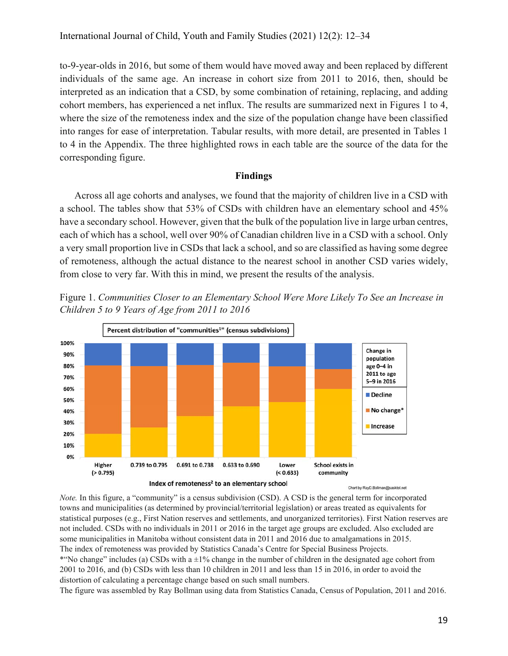to-9-year-olds in 2016, but some of them would have moved away and been replaced by different individuals of the same age. An increase in cohort size from 2011 to 2016, then, should be interpreted as an indication that a CSD, by some combination of retaining, replacing, and adding cohort members, has experienced a net influx. The results are summarized next in Figures 1 to 4, where the size of the remoteness index and the size of the population change have been classified into ranges for ease of interpretation. Tabular results, with more detail, are presented in Tables 1 to 4 in the Appendix. The three highlighted rows in each table are the source of the data for the corresponding figure.

#### **Findings**

Across all age cohorts and analyses, we found that the majority of children live in a CSD with a school. The tables show that 53% of CSDs with children have an elementary school and 45% have a secondary school. However, given that the bulk of the population live in large urban centres, each of which has a school, well over 90% of Canadian children live in a CSD with a school. Only a very small proportion live in CSDs that lack a school, and so are classified as having some degree of remoteness, although the actual distance to the nearest school in another CSD varies widely, from close to very far. With this in mind, we present the results of the analysis.



Figure 1. *Communities Closer to an Elementary School Were More Likely To See an Increase in Children 5 to 9 Years of Age from 2011 to 2016*

*Note.* In this figure, a "community" is a census subdivision (CSD). A CSD is the general term for incorporated towns and municipalities (as determined by provincial/territorial legislation) or areas treated as equivalents for statistical purposes (e.g., First Nation reserves and settlements, and unorganized territories). First Nation reserves are not included. CSDs with no individuals in 2011 or 2016 in the target age groups are excluded. Also excluded are some municipalities in Manitoba without consistent data in 2011 and 2016 due to amalgamations in 2015. The index of remoteness was provided by Statistics Canada's Centre for Special Business Projects. \*"No change" includes (a) CSDs with  $a \pm 1\%$  change in the number of children in the designated age cohort from 2001 to 2016, and (b) CSDs with less than 10 children in 2011 and less than 15 in 2016, in order to avoid the distortion of calculating a percentage change based on such small numbers.

The figure was assembled by Ray Bollman using data from Statistics Canada, Census of Population, 2011 and 2016.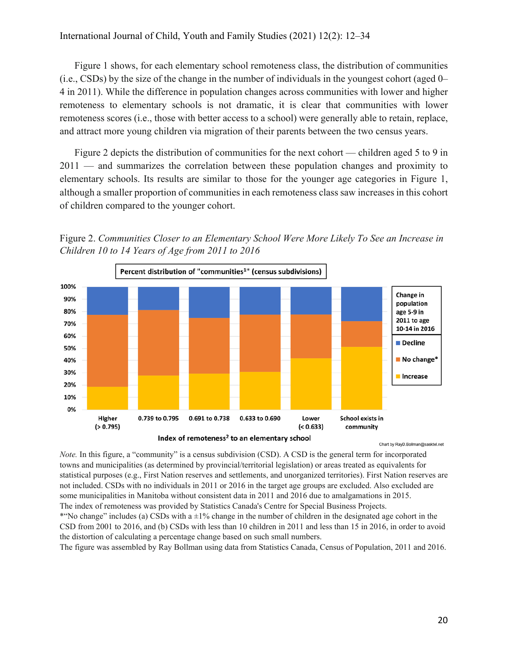Figure 1 shows, for each elementary school remoteness class, the distribution of communities (i.e., CSDs) by the size of the change in the number of individuals in the youngest cohort (aged 0– 4 in 2011). While the difference in population changes across communities with lower and higher remoteness to elementary schools is not dramatic, it is clear that communities with lower remoteness scores (i.e., those with better access to a school) were generally able to retain, replace, and attract more young children via migration of their parents between the two census years.

Figure 2 depicts the distribution of communities for the next cohort — children aged 5 to 9 in 2011 — and summarizes the correlation between these population changes and proximity to elementary schools. Its results are similar to those for the younger age categories in Figure 1, although a smaller proportion of communities in each remoteness class saw increases in this cohort of children compared to the younger cohort.

Figure 2. *Communities Closer to an Elementary School Were More Likely To See an Increase in Children 10 to 14 Years of Age from 2011 to 2016*



Chart by RayD.Bollman@sasktel.net

*Note.* In this figure, a "community" is a census subdivision (CSD). A CSD is the general term for incorporated towns and municipalities (as determined by provincial/territorial legislation) or areas treated as equivalents for statistical purposes (e.g., First Nation reserves and settlements, and unorganized territories). First Nation reserves are not included. CSDs with no individuals in 2011 or 2016 in the target age groups are excluded. Also excluded are some municipalities in Manitoba without consistent data in 2011 and 2016 due to amalgamations in 2015. The index of remoteness was provided by Statistics Canada's Centre for Special Business Projects. \*"No change" includes (a) CSDs with  $a \pm 1\%$  change in the number of children in the designated age cohort in the CSD from 2001 to 2016, and (b) CSDs with less than 10 children in 2011 and less than 15 in 2016, in order to avoid

the distortion of calculating a percentage change based on such small numbers.

The figure was assembled by Ray Bollman using data from Statistics Canada, Census of Population, 2011 and 2016.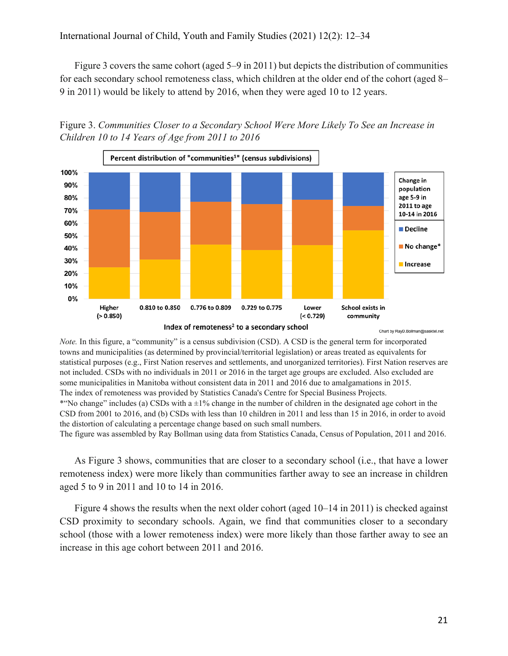Figure 3 covers the same cohort (aged 5–9 in 2011) but depicts the distribution of communities for each secondary school remoteness class, which children at the older end of the cohort (aged 8– 9 in 2011) would be likely to attend by 2016, when they were aged 10 to 12 years.





Chart by RayD.Bollman@sasktel.net

*Note.* In this figure, a "community" is a census subdivision (CSD). A CSD is the general term for incorporated towns and municipalities (as determined by provincial/territorial legislation) or areas treated as equivalents for statistical purposes (e.g., First Nation reserves and settlements, and unorganized territories). First Nation reserves are not included. CSDs with no individuals in 2011 or 2016 in the target age groups are excluded. Also excluded are some municipalities in Manitoba without consistent data in 2011 and 2016 due to amalgamations in 2015. The index of remoteness was provided by Statistics Canada's Centre for Special Business Projects. \*"No change" includes (a) CSDs with  $a \pm 1\%$  change in the number of children in the designated age cohort in the CSD from 2001 to 2016, and (b) CSDs with less than 10 children in 2011 and less than 15 in 2016, in order to avoid the distortion of calculating a percentage change based on such small numbers.

The figure was assembled by Ray Bollman using data from Statistics Canada, Census of Population, 2011 and 2016.

As Figure 3 shows, communities that are closer to a secondary school (i.e., that have a lower remoteness index) were more likely than communities farther away to see an increase in children aged 5 to 9 in 2011 and 10 to 14 in 2016.

Figure 4 shows the results when the next older cohort (aged 10–14 in 2011) is checked against CSD proximity to secondary schools. Again, we find that communities closer to a secondary school (those with a lower remoteness index) were more likely than those farther away to see an increase in this age cohort between 2011 and 2016.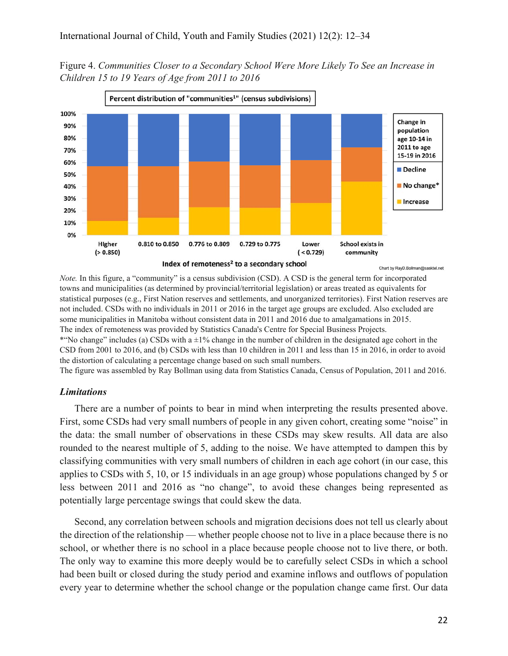Figure 4. *Communities Closer to a Secondary School Were More Likely To See an Increase in Children 15 to 19 Years of Age from 2011 to 2016*



*Note.* In this figure, a "community" is a census subdivision (CSD). A CSD is the general term for incorporated towns and municipalities (as determined by provincial/territorial legislation) or areas treated as equivalents for statistical purposes (e.g., First Nation reserves and settlements, and unorganized territories). First Nation reserves are not included. CSDs with no individuals in 2011 or 2016 in the target age groups are excluded. Also excluded are some municipalities in Manitoba without consistent data in 2011 and 2016 due to amalgamations in 2015. The index of remoteness was provided by Statistics Canada's Centre for Special Business Projects. \*"No change" includes (a) CSDs with  $a \pm 1\%$  change in the number of children in the designated age cohort in the CSD from 2001 to 2016, and (b) CSDs with less than 10 children in 2011 and less than 15 in 2016, in order to avoid the distortion of calculating a percentage change based on such small numbers.

The figure was assembled by Ray Bollman using data from Statistics Canada, Census of Population, 2011 and 2016.

#### *Limitations*

There are a number of points to bear in mind when interpreting the results presented above. First, some CSDs had very small numbers of people in any given cohort, creating some "noise" in the data: the small number of observations in these CSDs may skew results. All data are also rounded to the nearest multiple of 5, adding to the noise. We have attempted to dampen this by classifying communities with very small numbers of children in each age cohort (in our case, this applies to CSDs with 5, 10, or 15 individuals in an age group) whose populations changed by 5 or less between 2011 and 2016 as "no change", to avoid these changes being represented as potentially large percentage swings that could skew the data.

Second, any correlation between schools and migration decisions does not tell us clearly about the direction of the relationship — whether people choose not to live in a place because there is no school, or whether there is no school in a place because people choose not to live there, or both. The only way to examine this more deeply would be to carefully select CSDs in which a school had been built or closed during the study period and examine inflows and outflows of population every year to determine whether the school change or the population change came first. Our data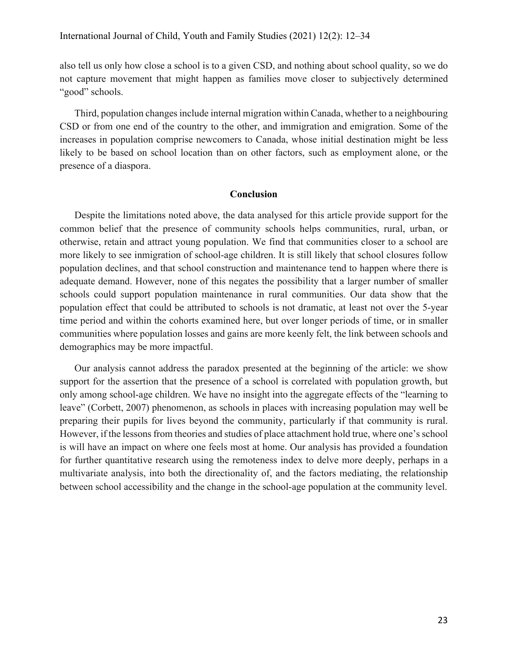also tell us only how close a school is to a given CSD, and nothing about school quality, so we do not capture movement that might happen as families move closer to subjectively determined "good" schools.

Third, population changes include internal migration within Canada, whether to a neighbouring CSD or from one end of the country to the other, and immigration and emigration. Some of the increases in population comprise newcomers to Canada, whose initial destination might be less likely to be based on school location than on other factors, such as employment alone, or the presence of a diaspora.

#### **Conclusion**

Despite the limitations noted above, the data analysed for this article provide support for the common belief that the presence of community schools helps communities, rural, urban, or otherwise, retain and attract young population. We find that communities closer to a school are more likely to see inmigration of school-age children. It is still likely that school closures follow population declines, and that school construction and maintenance tend to happen where there is adequate demand. However, none of this negates the possibility that a larger number of smaller schools could support population maintenance in rural communities. Our data show that the population effect that could be attributed to schools is not dramatic, at least not over the 5-year time period and within the cohorts examined here, but over longer periods of time, or in smaller communities where population losses and gains are more keenly felt, the link between schools and demographics may be more impactful.

Our analysis cannot address the paradox presented at the beginning of the article: we show support for the assertion that the presence of a school is correlated with population growth, but only among school-age children. We have no insight into the aggregate effects of the "learning to leave" (Corbett, 2007) phenomenon, as schools in places with increasing population may well be preparing their pupils for lives beyond the community, particularly if that community is rural. However, if the lessons from theories and studies of place attachment hold true, where one's school is will have an impact on where one feels most at home. Our analysis has provided a foundation for further quantitative research using the remoteness index to delve more deeply, perhaps in a multivariate analysis, into both the directionality of, and the factors mediating, the relationship between school accessibility and the change in the school-age population at the community level.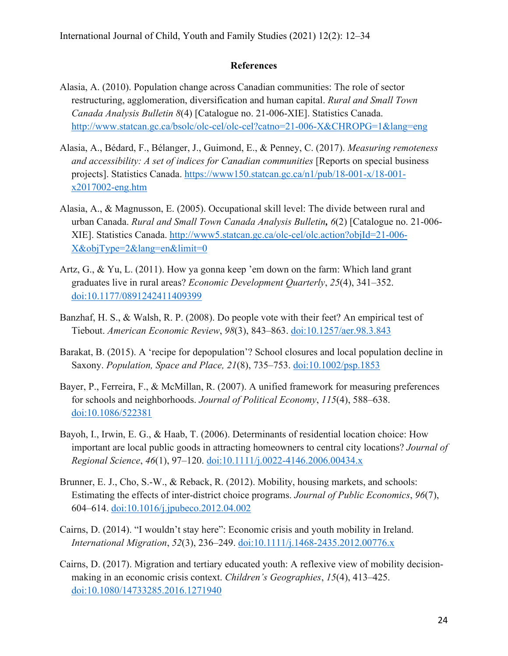## **References**

- Alasia, A. (2010). Population change across Canadian communities: The role of sector restructuring, agglomeration, diversification and human capital. *Rural and Small Town Canada Analysis Bulletin 8*(4) [Catalogue no. 21-006-XIE]. Statistics Canada. http://www.statcan.gc.ca/bsolc/olc-cel/olc-cel?catno=21-006-X&CHROPG=1&lang=eng
- Alasia, A., Bédard, F., Bélanger, J., Guimond, E., & Penney, C. (2017). *Measuring remoteness and accessibility: A set of indices for Canadian communities* [Reports on special business projects]. Statistics Canada. https://www150.statcan.gc.ca/n1/pub/18-001-x/18-001 x2017002-eng.htm
- Alasia, A., & Magnusson, E. (2005). Occupational skill level: The divide between rural and urban Canada. *Rural and Small Town Canada Analysis Bulletin, 6*(2) [Catalogue no. 21-006- XIE]. Statistics Canada. http://www5.statcan.gc.ca/olc-cel/olc.action?objId=21-006- X&objType=2&lang=en&limit=0
- Artz, G., & Yu, L. (2011). How ya gonna keep 'em down on the farm: Which land grant graduates live in rural areas? *Economic Development Quarterly*, *25*(4), 341–352. doi:10.1177/0891242411409399
- Banzhaf, H. S., & Walsh, R. P. (2008). Do people vote with their feet? An empirical test of Tiebout. *American Economic Review*, *98*(3), 843–863. doi:10.1257/aer.98.3.843
- Barakat, B. (2015). A 'recipe for depopulation'? School closures and local population decline in Saxony. *Population, Space and Place, 21*(8), 735–753. doi:10.1002/psp.1853
- Bayer, P., Ferreira, F., & McMillan, R. (2007). A unified framework for measuring preferences for schools and neighborhoods. *Journal of Political Economy*, *115*(4), 588–638. doi:10.1086/522381
- Bayoh, I., Irwin, E. G., & Haab, T. (2006). Determinants of residential location choice: How important are local public goods in attracting homeowners to central city locations? *Journal of Regional Science*, *46*(1), 97–120. doi:10.1111/j.0022-4146.2006.00434.x
- Brunner, E. J., Cho, S.-W., & Reback, R. (2012). Mobility, housing markets, and schools: Estimating the effects of inter-district choice programs. *Journal of Public Economics*, *96*(7), 604–614. doi:10.1016/j.jpubeco.2012.04.002
- Cairns, D. (2014). "I wouldn't stay here": Economic crisis and youth mobility in Ireland. *International Migration*, *52*(3), 236–249. doi:10.1111/j.1468-2435.2012.00776.x
- Cairns, D. (2017). Migration and tertiary educated youth: A reflexive view of mobility decisionmaking in an economic crisis context. *Children's Geographies*, *15*(4), 413–425. doi:10.1080/14733285.2016.1271940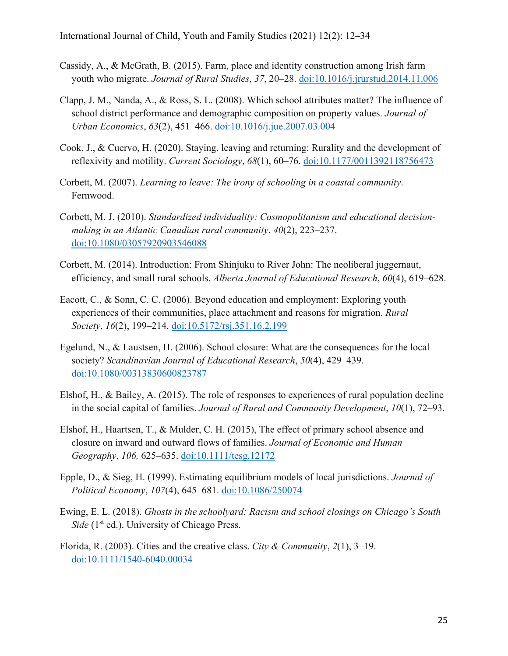- Cassidy, A., & McGrath, B. (2015). Farm, place and identity construction among Irish farm youth who migrate. *Journal of Rural Studies*, *37*, 20–28. doi:10.1016/j.jrurstud.2014.11.006
- Clapp, J. M., Nanda, A., & Ross, S. L. (2008). Which school attributes matter? The influence of school district performance and demographic composition on property values. *Journal of Urban Economics*, *63*(2), 451–466. doi:10.1016/j.jue.2007.03.004
- Cook, J., & Cuervo, H. (2020). Staying, leaving and returning: Rurality and the development of reflexivity and motility. *Current Sociology*, *68*(1), 60–76. doi:10.1177/0011392118756473
- Corbett, M. (2007). *Learning to leave: The irony of schooling in a coastal community*. Fernwood.
- Corbett, M. J. (2010). *Standardized individuality: Cosmopolitanism and educational decision‐ making in an Atlantic Canadian rural community*. *40*(2), 223–237. doi:10.1080/03057920903546088
- Corbett, M. (2014). Introduction: From Shinjuku to River John: The neoliberal juggernaut, efficiency, and small rural schools. *Alberta Journal of Educational Research*, *60*(4), 619–628.
- Eacott, C., & Sonn, C. C. (2006). Beyond education and employment: Exploring youth experiences of their communities, place attachment and reasons for migration. *Rural Society*, *16*(2), 199–214. doi:10.5172/rsj.351.16.2.199
- Egelund, N., & Laustsen, H. (2006). School closure: What are the consequences for the local society? *Scandinavian Journal of Educational Research*, *50*(4), 429–439. doi:10.1080/00313830600823787
- Elshof, H., & Bailey, A. (2015). The role of responses to experiences of rural population decline in the social capital of families. *Journal of Rural and Community Development*, *10*(1), 72–93.
- Elshof, H., Haartsen, T., & Mulder, C. H. (2015), The effect of primary school absence and closure on inward and outward flows of families. *Journal of Economic and Human Geography*, *106,* 625–635. doi:10.1111/tesg.12172
- Epple, D., & Sieg, H. (1999). Estimating equilibrium models of local jurisdictions. *Journal of Political Economy*, *107*(4), 645–681. doi:10.1086/250074
- Ewing, E. L. (2018). *Ghosts in the schoolyard: Racism and school closings on Chicago's South Side* (1<sup>st</sup> ed.). University of Chicago Press.
- Florida, R. (2003). Cities and the creative class. *City & Community*, *2*(1), 3–19. doi:10.1111/1540-6040.00034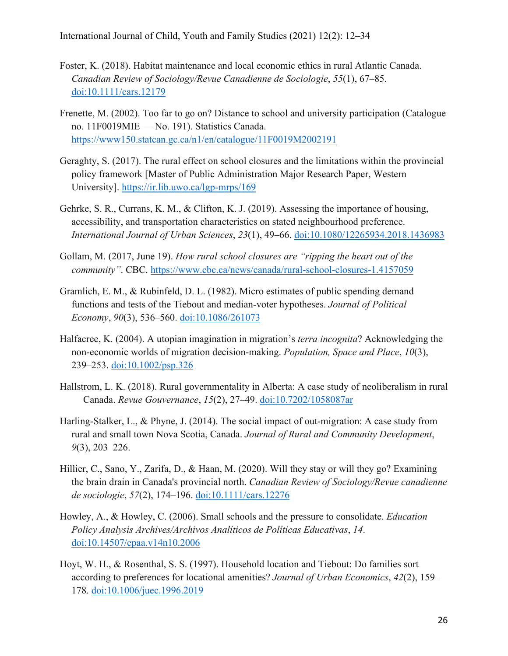- Foster, K. (2018). Habitat maintenance and local economic ethics in rural Atlantic Canada. *Canadian Review of Sociology/Revue Canadienne de Sociologie*, *55*(1), 67–85. doi:10.1111/cars.12179
- Frenette, M. (2002). Too far to go on? Distance to school and university participation (Catalogue no. 11F0019MIE — No. 191). Statistics Canada. https://www150.statcan.gc.ca/n1/en/catalogue/11F0019M2002191
- Geraghty, S. (2017). The rural effect on school closures and the limitations within the provincial policy framework [Master of Public Administration Major Research Paper, Western University]. https://ir.lib.uwo.ca/lgp-mrps/169
- Gehrke, S. R., Currans, K. M., & Clifton, K. J. (2019). Assessing the importance of housing, accessibility, and transportation characteristics on stated neighbourhood preference. *International Journal of Urban Sciences*, *23*(1), 49–66. doi:10.1080/12265934.2018.1436983
- Gollam, M. (2017, June 19). *How rural school closures are "ripping the heart out of the community"*. CBC. https://www.cbc.ca/news/canada/rural-school-closures-1.4157059
- Gramlich, E. M., & Rubinfeld, D. L. (1982). Micro estimates of public spending demand functions and tests of the Tiebout and median-voter hypotheses. *Journal of Political Economy*, *90*(3), 536–560. doi:10.1086/261073
- Halfacree, K. (2004). A utopian imagination in migration's *terra incognita*? Acknowledging the non‐economic worlds of migration decision‐making. *Population, Space and Place*, *10*(3), 239–253. doi:10.1002/psp.326
- Hallstrom, L. K. (2018). Rural governmentality in Alberta: A case study of neoliberalism in rural Canada. *Revue Gouvernance*, *15*(2), 27–49. doi:10.7202/1058087ar
- Harling-Stalker, L., & Phyne, J. (2014). The social impact of out-migration: A case study from rural and small town Nova Scotia, Canada. *Journal of Rural and Community Development*, *9*(3), 203–226.
- Hillier, C., Sano, Y., Zarifa, D., & Haan, M. (2020). Will they stay or will they go? Examining the brain drain in Canada's provincial north. *Canadian Review of Sociology/Revue canadienne de sociologie*, *57*(2), 174–196. doi:10.1111/cars.12276
- Howley, A., & Howley, C. (2006). Small schools and the pressure to consolidate. *Education Policy Analysis Archives/Archivos Analíticos de Políticas Educativas*, *14*. doi:10.14507/epaa.v14n10.2006
- Hoyt, W. H., & Rosenthal, S. S. (1997). Household location and Tiebout: Do families sort according to preferences for locational amenities? *Journal of Urban Economics*, *42*(2), 159– 178. doi:10.1006/juec.1996.2019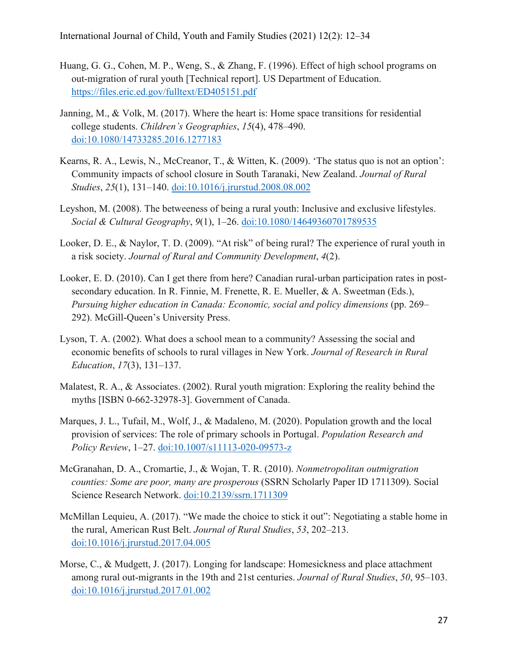- Huang, G. G., Cohen, M. P., Weng, S., & Zhang, F. (1996). Effect of high school programs on out-migration of rural youth [Technical report]. US Department of Education. https://files.eric.ed.gov/fulltext/ED405151.pdf
- Janning, M., & Volk, M. (2017). Where the heart is: Home space transitions for residential college students. *Children's Geographies*, *15*(4), 478–490. doi:10.1080/14733285.2016.1277183
- Kearns, R. A., Lewis, N., McCreanor, T., & Witten, K. (2009). 'The status quo is not an option': Community impacts of school closure in South Taranaki, New Zealand. *Journal of Rural Studies*, *25*(1), 131–140. doi:10.1016/j.jrurstud.2008.08.002
- Leyshon, M. (2008). The betweeness of being a rural youth: Inclusive and exclusive lifestyles. *Social & Cultural Geography*, *9*(1), 1–26. doi:10.1080/14649360701789535
- Looker, D. E., & Naylor, T. D. (2009). "At risk" of being rural? The experience of rural youth in a risk society. *Journal of Rural and Community Development*, *4*(2).
- Looker, E. D. (2010). Can I get there from here? Canadian rural-urban participation rates in postsecondary education. In R. Finnie, M. Frenette, R. E. Mueller, & A. Sweetman (Eds.), *Pursuing higher education in Canada: Economic, social and policy dimensions* (pp. 269– 292). McGill-Queen's University Press.
- Lyson, T. A. (2002). What does a school mean to a community? Assessing the social and economic benefits of schools to rural villages in New York. *Journal of Research in Rural Education*, *17*(3), 131–137.
- Malatest, R. A., & Associates. (2002). Rural youth migration: Exploring the reality behind the myths [ISBN 0-662-32978-3]. Government of Canada.
- Marques, J. L., Tufail, M., Wolf, J., & Madaleno, M. (2020). Population growth and the local provision of services: The role of primary schools in Portugal. *Population Research and Policy Review*, 1–27. doi:10.1007/s11113-020-09573-z
- McGranahan, D. A., Cromartie, J., & Wojan, T. R. (2010). *Nonmetropolitan outmigration counties: Some are poor, many are prosperous* (SSRN Scholarly Paper ID 1711309). Social Science Research Network. doi:10.2139/ssrn.1711309
- McMillan Lequieu, A. (2017). "We made the choice to stick it out": Negotiating a stable home in the rural, American Rust Belt. *Journal of Rural Studies*, *53*, 202–213. doi:10.1016/j.jrurstud.2017.04.005
- Morse, C., & Mudgett, J. (2017). Longing for landscape: Homesickness and place attachment among rural out-migrants in the 19th and 21st centuries. *Journal of Rural Studies*, *50*, 95–103. doi:10.1016/j.jrurstud.2017.01.002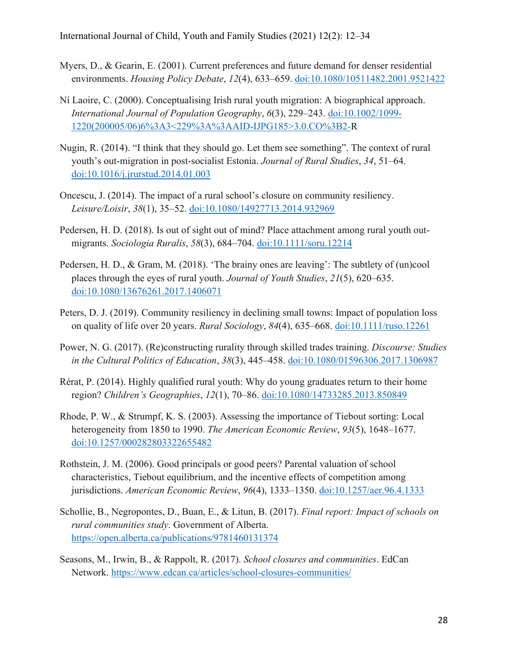- Myers, D., & Gearin, E. (2001). Current preferences and future demand for denser residential environments. *Housing Policy Debate*, *12*(4), 633–659. doi:10.1080/10511482.2001.9521422
- Ní Laoire, C. (2000). Conceptualising Irish rural youth migration: A biographical approach. *International Journal of Population Geography*, *6*(3), 229–243. doi:10.1002/1099- 1220(200005/06)6%3A3<229%3A%3AAID-IJPG185>3.0.CO%3B2-R
- Nugin, R. (2014). "I think that they should go. Let them see something". The context of rural youth's out-migration in post-socialist Estonia. *Journal of Rural Studies*, *34*, 51–64. doi:10.1016/j.jrurstud.2014.01.003
- Oncescu, J. (2014). The impact of a rural school's closure on community resiliency. *Leisure/Loisir*, *38*(1), 35–52. doi:10.1080/14927713.2014.932969
- Pedersen, H. D. (2018). Is out of sight out of mind? Place attachment among rural youth outmigrants. *Sociologia Ruralis*, *58*(3), 684–704. doi:10.1111/soru.12214
- Pedersen, H. D., & Gram, M. (2018). 'The brainy ones are leaving': The subtlety of (un)cool places through the eyes of rural youth. *Journal of Youth Studies*, *21*(5), 620–635. doi:10.1080/13676261.2017.1406071
- Peters, D. J. (2019). Community resiliency in declining small towns: Impact of population loss on quality of life over 20 years. *Rural Sociology*, *84*(4), 635–668. doi:10.1111/ruso.12261
- Power, N. G. (2017). (Re)constructing rurality through skilled trades training. *Discourse: Studies in the Cultural Politics of Education*, *38*(3), 445–458. doi:10.1080/01596306.2017.1306987
- Rérat, P. (2014). Highly qualified rural youth: Why do young graduates return to their home region? *Children's Geographies*, *12*(1), 70–86. doi:10.1080/14733285.2013.850849
- Rhode, P. W., & Strumpf, K. S. (2003). Assessing the importance of Tiebout sorting: Local heterogeneity from 1850 to 1990. *The American Economic Review*, *93*(5), 1648–1677. doi:10.1257/000282803322655482
- Rothstein, J. M. (2006). Good principals or good peers? Parental valuation of school characteristics, Tiebout equilibrium, and the incentive effects of competition among jurisdictions. *American Economic Review*, *96*(4), 1333–1350. doi:10.1257/aer.96.4.1333
- Schollie, B., Negropontes, D., Buan, E., & Litun, B. (2017). *Final report: Impact of schools on rural communities study*. Government of Alberta. https://open.alberta.ca/publications/9781460131374
- Seasons, M., Irwin, B., & Rappolt, R. (2017). *School closures and communities*. EdCan Network. https://www.edcan.ca/articles/school-closures-communities/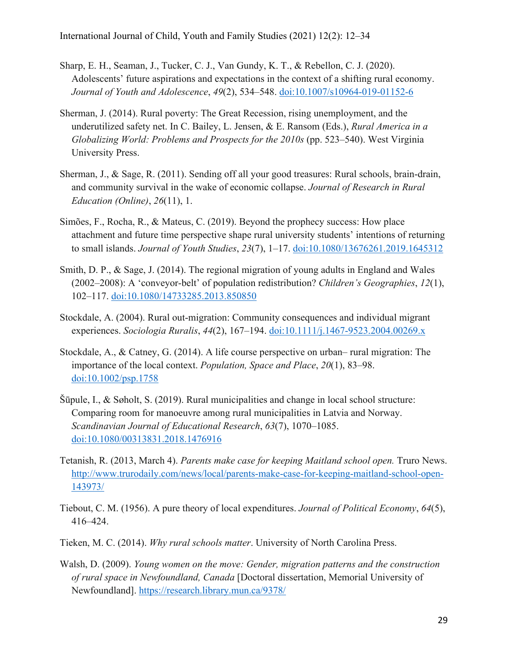- Sharp, E. H., Seaman, J., Tucker, C. J., Van Gundy, K. T., & Rebellon, C. J. (2020). Adolescents' future aspirations and expectations in the context of a shifting rural economy. *Journal of Youth and Adolescence*, *49*(2), 534–548. doi:10.1007/s10964-019-01152-6
- Sherman, J. (2014). Rural poverty: The Great Recession, rising unemployment, and the underutilized safety net. In C. Bailey, L. Jensen, & E. Ransom (Eds.), *Rural America in a Globalizing World: Problems and Prospects for the 2010s* (pp. 523–540). West Virginia University Press.
- Sherman, J., & Sage, R. (2011). Sending off all your good treasures: Rural schools, brain-drain, and community survival in the wake of economic collapse. *Journal of Research in Rural Education (Online)*, *26*(11), 1.
- Simões, F., Rocha, R., & Mateus, C. (2019). Beyond the prophecy success: How place attachment and future time perspective shape rural university students' intentions of returning to small islands. *Journal of Youth Studies*, *23*(7), 1–17. doi:10.1080/13676261.2019.1645312
- Smith, D. P., & Sage, J. (2014). The regional migration of young adults in England and Wales (2002–2008): A 'conveyor-belt' of population redistribution? *Children's Geographies*, *12*(1), 102–117. doi:10.1080/14733285.2013.850850
- Stockdale, A. (2004). Rural out-migration: Community consequences and individual migrant experiences. *Sociologia Ruralis*, *44*(2), 167–194. doi:10.1111/j.1467-9523.2004.00269.x
- Stockdale, A., & Catney, G. (2014). A life course perspective on urban– rural migration: The importance of the local context. *Population, Space and Place*, *20*(1), 83–98. doi:10.1002/psp.1758
- Šūpule, I., & Søholt, S. (2019). Rural municipalities and change in local school structure: Comparing room for manoeuvre among rural municipalities in Latvia and Norway. *Scandinavian Journal of Educational Research*, *63*(7), 1070–1085. doi:10.1080/00313831.2018.1476916
- Tetanish, R. (2013, March 4). *Parents make case for keeping Maitland school open.* Truro News. http://www.trurodaily.com/news/local/parents-make-case-for-keeping-maitland-school-open-143973/
- Tiebout, C. M. (1956). A pure theory of local expenditures. *Journal of Political Economy*, *64*(5), 416–424.
- Tieken, M. C. (2014). *Why rural schools matter*. University of North Carolina Press.
- Walsh, D. (2009). *Young women on the move: Gender, migration patterns and the construction of rural space in Newfoundland, Canada* [Doctoral dissertation, Memorial University of Newfoundland]. https://research.library.mun.ca/9378/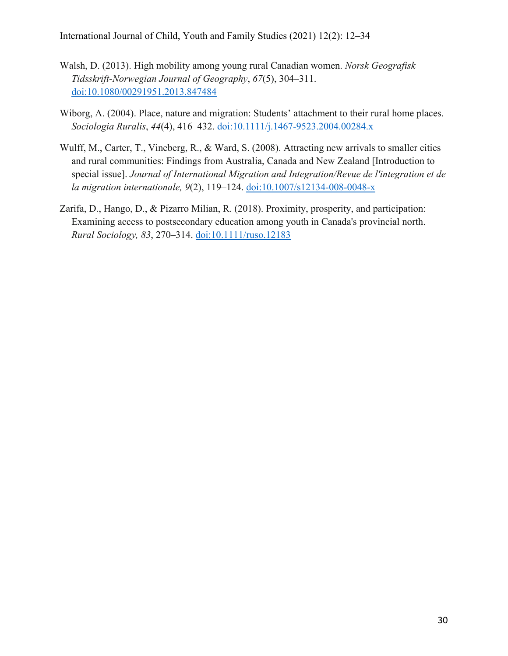International Journal of Child, Youth and Family Studies (2021) 12(2): 12–34

- Walsh, D. (2013). High mobility among young rural Canadian women. *Norsk Geografisk Tidsskrift-Norwegian Journal of Geography*, *67*(5), 304–311. doi:10.1080/00291951.2013.847484
- Wiborg, A. (2004). Place, nature and migration: Students' attachment to their rural home places. *Sociologia Ruralis*, *44*(4), 416–432. doi:10.1111/j.1467-9523.2004.00284.x
- Wulff, M., Carter, T., Vineberg, R., & Ward, S. (2008). Attracting new arrivals to smaller cities and rural communities: Findings from Australia, Canada and New Zealand [Introduction to special issue]. *Journal of International Migration and Integration/Revue de l'integration et de la migration internationale, 9*(2), 119–124. doi:10.1007/s12134-008-0048-x
- Zarifa, D., Hango, D., & Pizarro Milian, R. (2018). Proximity, prosperity, and participation: Examining access to postsecondary education among youth in Canada's provincial north. *Rural Sociology, 83*, 270–314. doi:10.1111/ruso.12183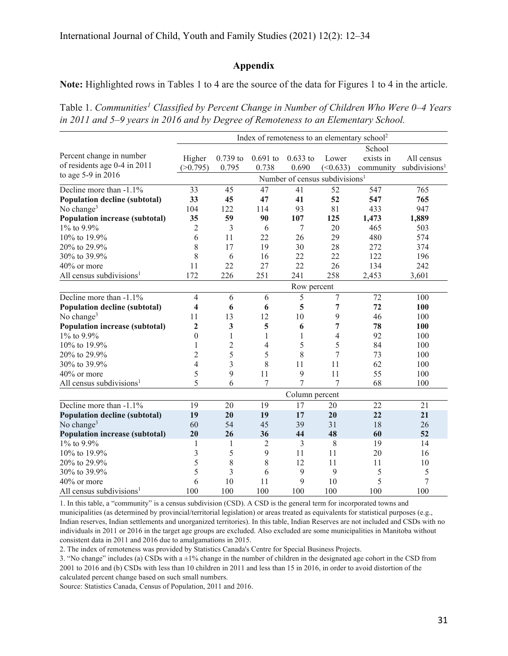## **Appendix**

**Note:** Highlighted rows in Tables 1 to 4 are the source of the data for Figures 1 to 4 in the article.

Table 1. Communities<sup>1</sup> Classified by Percent Change in Number of Children Who Were 0–4 Years *in 2011 and 5–9 years in 2016 and by Degree of Remoteness to an Elementary School.*

|                                       | Index of remoteness to an elementary school <sup>2</sup> |                |                |              |                |           |                           |  |  |
|---------------------------------------|----------------------------------------------------------|----------------|----------------|--------------|----------------|-----------|---------------------------|--|--|
|                                       | School                                                   |                |                |              |                |           |                           |  |  |
| Percent change in number              | Higher                                                   | $0.739$ to     | $0.691$ to     | $0.633$ to   | Lower          | exists in | All census                |  |  |
| of residents age 0-4 in 2011          | (>0.795)                                                 | 0.795          | 0.738          | 0.690        | (<0.633)       | community | subdivisions <sup>1</sup> |  |  |
| to age 5-9 in 2016                    | Number of census subdivisions <sup>1</sup>               |                |                |              |                |           |                           |  |  |
| Decline more than -1.1%               | 33                                                       | 45             | 47             | 41           | 52             | 547       | 765                       |  |  |
| Population decline (subtotal)         | 33                                                       | 45             | 47             | 41           | 52             | 547       | 765                       |  |  |
| No change <sup>3</sup>                | 104                                                      | 122            | 114            | 93           | 81             | 433       | 947                       |  |  |
| <b>Population increase (subtotal)</b> | 35                                                       | 59             | 90             | 107          | 125            | 1,473     | 1,889                     |  |  |
| 1% to 9.9%                            | $\overline{c}$                                           | 3              | 6              | 7            | 20             | 465       | 503                       |  |  |
| 10% to 19.9%                          | 6                                                        | 11             | 22             | 26           | 29             | 480       | 574                       |  |  |
| 20% to 29.9%                          | 8                                                        | 17             | 19             | 30           | 28             | 272       | 374                       |  |  |
| 30% to 39.9%                          | 8                                                        | 6              | 16             | 22           | 22             | 122       | 196                       |  |  |
| 40% or more                           | 11                                                       | 22             | 27             | 22           | 26             | 134       | 242                       |  |  |
| All census subdivisions <sup>1</sup>  | 172                                                      | 226            | 251            | 241          | 258            | 2,453     | 3,601                     |  |  |
|                                       | Row percent                                              |                |                |              |                |           |                           |  |  |
| Decline more than -1.1%               | $\overline{4}$                                           | 6              | 6              | 5            | $\overline{7}$ | 72        | 100                       |  |  |
| <b>Population decline (subtotal)</b>  | 4                                                        | 6              | 6              | 5            | 7              | 72        | 100                       |  |  |
| No change <sup>3</sup>                | 11                                                       | 13             | 12             | 10           | 9              | 46        | 100                       |  |  |
| <b>Population increase (subtotal)</b> | $\overline{2}$                                           | 3              | 5              | 6            | 7              | 78        | 100                       |  |  |
| 1% to 9.9%                            | $\boldsymbol{0}$                                         | $\mathbf{1}$   | $\mathbf{1}$   | $\mathbf{1}$ | 4              | 92        | 100                       |  |  |
| 10% to 19.9%                          | 1                                                        | $\overline{2}$ | 4              | 5            | 5              | 84        | 100                       |  |  |
| 20% to 29.9%                          | $\overline{c}$                                           | 5              | 5              | 8            | 7              | 73        | 100                       |  |  |
| 30% to 39.9%                          | 4                                                        | 3              | 8              | 11           | 11             | 62        | 100                       |  |  |
| 40% or more                           | 5                                                        | 9              | 11             | 9            | 11             | 55        | 100                       |  |  |
| All census subdivisions <sup>1</sup>  | 5                                                        | 6              | 7              | 7            | 7              | 68        | 100                       |  |  |
|                                       | Column percent                                           |                |                |              |                |           |                           |  |  |
| Decline more than -1.1%               | 19                                                       | 20             | 19             | 17           | 20             | 22        | 21                        |  |  |
| <b>Population decline (subtotal)</b>  | 19                                                       | 20             | 19             | 17           | 20             | 22        | 21                        |  |  |
| No change <sup>3</sup>                | 60                                                       | 54             | 45             | 39           | 31             | 18        | 26                        |  |  |
| <b>Population increase (subtotal)</b> | 20                                                       | 26             | 36             | 44           | 48             | 60        | 52                        |  |  |
| 1% to 9.9%                            | $\mathbf{1}$                                             | 1              | $\overline{c}$ | 3            | 8              | 19        | 14                        |  |  |
| 10% to 19.9%                          | 3                                                        | 5              | 9              | 11           | 11             | 20        | 16                        |  |  |
| 20% to 29.9%                          | 5                                                        | 8              | 8              | 12           | 11             | 11        | 10                        |  |  |
| 30% to 39.9%                          | 5                                                        | 3              | 6              | 9            | 9              | 5         | 5                         |  |  |
| 40% or more                           | 6                                                        | 10             | 11             | 9            | 10             | 5         | 7                         |  |  |
| All census subdivisions <sup>1</sup>  | 100                                                      | 100            | 100            | 100          | 100            | 100       | 100                       |  |  |

1. In this table, a "community" is a census subdivision (CSD). A CSD is the general term for incorporated towns and municipalities (as determined by provincial/territorial legislation) or areas treated as equivalents for statistical purposes (e.g., Indian reserves, Indian settlements and unorganized territories). In this table, Indian Reserves are not included and CSDs with no individuals in 2011 or 2016 in the target age groups are excluded. Also excluded are some municipalities in Manitoba without consistent data in 2011 and 2016 due to amalgamations in 2015.

2. The index of remoteness was provided by Statistics Canada's Centre for Special Business Projects.

3. "No change" includes (a) CSDs with  $a \pm 1\%$  change in the number of children in the designated age cohort in the CSD from 2001 to 2016 and (b) CSDs with less than 10 children in 2011 and less than 15 in 2016, in order to avoid distortion of the calculated percent change based on such small numbers.

Source: Statistics Canada, Census of Population, 2011 and 2016.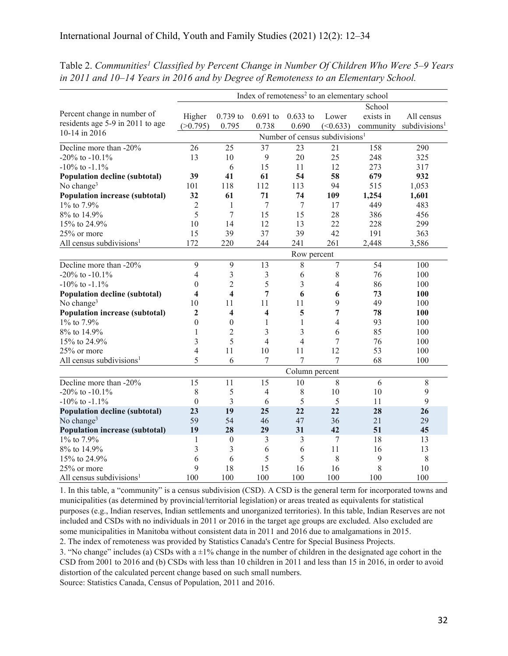|                                       | Index of remoteness <sup>2</sup> to an elementary school |                         |                         |                |                |           |                           |  |  |
|---------------------------------------|----------------------------------------------------------|-------------------------|-------------------------|----------------|----------------|-----------|---------------------------|--|--|
|                                       | School                                                   |                         |                         |                |                |           |                           |  |  |
| Percent change in number of           | Higher                                                   | $0.739$ to              | $0.691$ to              | $0.633$ to     | Lower          | exists in | All census                |  |  |
| residents age 5-9 in 2011 to age      | (>0.795)                                                 | 0.795                   | 0.738                   | 0.690          | (<0.633)       | community | subdivisions <sup>1</sup> |  |  |
| 10-14 in 2016                         | Number of census subdivisions <sup>1</sup>               |                         |                         |                |                |           |                           |  |  |
| Decline more than -20%                | 26                                                       | 25                      | 37                      | 23             | 21             | 158       | 290                       |  |  |
| -20% to -10.1%                        | 13                                                       | 10                      | $\mathbf{9}$            | 20             | 25             | 248       | 325                       |  |  |
| $-10\%$ to $-1.1\%$                   |                                                          | 6                       | 15                      | 11             | 12             | 273       | 317                       |  |  |
| <b>Population decline (subtotal)</b>  | 39                                                       | 41                      | 61                      | 54             | 58             | 679       | 932                       |  |  |
| No change <sup>3</sup>                | 101                                                      | 118                     | 112                     | 113            | 94             | 515       | 1,053                     |  |  |
| <b>Population increase (subtotal)</b> | 32                                                       | 61                      | 71                      | 74             | 109            | 1,254     | 1,601                     |  |  |
| 1% to 7.9%                            | $\overline{2}$                                           | $\mathbf{1}$            | $\tau$                  | 7              | 17             | 449       | 483                       |  |  |
| 8% to 14.9%                           | 5                                                        | $\overline{7}$          | 15                      | 15             | 28             | 386       | 456                       |  |  |
| 15% to 24.9%                          | 10                                                       | 14                      | 12                      | 13             | 22             | 228       | 299                       |  |  |
| 25% or more                           | 15                                                       | 39                      | 37                      | 39             | 42             | 191       | 363                       |  |  |
| All census subdivisions <sup>1</sup>  | 172                                                      | 220                     | 244                     | 241            | 261            | 2,448     | 3,586                     |  |  |
|                                       | Row percent                                              |                         |                         |                |                |           |                           |  |  |
| Decline more than -20%                | 9                                                        | 9                       | 13                      | 8              | $\tau$         | 54        | 100                       |  |  |
| $-20\%$ to $-10.1\%$                  | 4                                                        | 3                       | 3                       | 6              | $\,$ 8 $\,$    | 76        | 100                       |  |  |
| $-10\%$ to $-1.1\%$                   | $\theta$                                                 | $\overline{2}$          | 5                       | 3              | $\overline{4}$ | 86        | 100                       |  |  |
| <b>Population decline (subtotal)</b>  | $\overline{\mathbf{4}}$                                  | $\overline{\mathbf{4}}$ | 7                       | 6              | 6              | 73        | 100                       |  |  |
| No change <sup>3</sup>                | 10                                                       | 11                      | 11                      | 11             | 9              | 49        | 100                       |  |  |
| <b>Population increase (subtotal)</b> | $\mathbf{2}$                                             | 4                       | $\overline{\mathbf{4}}$ | 5              | 7              | 78        | 100                       |  |  |
| 1% to 7.9%                            | $\theta$                                                 | $\theta$                | 1                       | 1              | 4              | 93        | 100                       |  |  |
| 8% to 14.9%                           | 1                                                        | $\overline{2}$          | 3                       | 3              | 6              | 85        | 100                       |  |  |
| 15% to 24.9%                          | 3                                                        | 5                       | $\overline{4}$          | $\overline{4}$ | $\tau$         | 76        | 100                       |  |  |
| 25% or more                           | 4                                                        | 11                      | 10                      | 11             | 12             | 53        | 100                       |  |  |
| All census subdivisions <sup>1</sup>  | 5                                                        | 6                       | 7                       | 7              | 7              | 68        | 100                       |  |  |
|                                       | Column percent                                           |                         |                         |                |                |           |                           |  |  |
| Decline more than -20%                | $\overline{15}$                                          | 11                      | 15                      | 10             | 8              | 6         | 8                         |  |  |
| -20% to -10.1%                        | 8                                                        | 5                       | $\overline{4}$          | 8              | 10             | 10        | 9                         |  |  |
| $-10\%$ to $-1.1\%$                   | $\boldsymbol{0}$                                         | $\overline{3}$          | 6                       | 5              | 5              | 11        | 9                         |  |  |
| <b>Population decline (subtotal)</b>  | 23                                                       | 19                      | 25                      | 22             | 22             | 28        | 26                        |  |  |
| No change <sup>3</sup>                | 59                                                       | 54                      | 46                      | 47             | 36             | 21        | 29                        |  |  |
| <b>Population increase (subtotal)</b> | 19                                                       | 28                      | 29                      | 31             | 42             | 51        | 45                        |  |  |
| 1% to 7.9%                            | 1                                                        | $\boldsymbol{0}$        | 3                       | 3              | 7              | 18        | 13                        |  |  |
| 8% to 14.9%                           | 3                                                        | $\overline{3}$          | 6                       | 6              | 11             | 16        | 13                        |  |  |
| 15% to 24.9%                          | 6                                                        | 6                       | 5                       | 5              | 8              | 9         | 8                         |  |  |
| 25% or more                           | 9                                                        | 18                      | 15                      | 16             | 16             | 8         | 10                        |  |  |
| All census subdivisions <sup>1</sup>  | 100                                                      | 100                     | 100                     | 100            | 100            | 100       | 100                       |  |  |

Table 2. Communities<sup>1</sup> Classified by Percent Change in Number Of Children Who Were 5–9 Years *in 2011 and 10–14 Years in 2016 and by Degree of Remoteness to an Elementary School.*

1. In this table, a "community" is a census subdivision (CSD). A CSD is the general term for incorporated towns and municipalities (as determined by provincial/territorial legislation) or areas treated as equivalents for statistical purposes (e.g., Indian reserves, Indian settlements and unorganized territories). In this table, Indian Reserves are not included and CSDs with no individuals in 2011 or 2016 in the target age groups are excluded. Also excluded are some municipalities in Manitoba without consistent data in 2011 and 2016 due to amalgamations in 2015. 2. The index of remoteness was provided by Statistics Canada's Centre for Special Business Projects.

3. "No change" includes (a) CSDs with a  $\pm 1\%$  change in the number of children in the designated age cohort in the CSD from 2001 to 2016 and (b) CSDs with less than 10 children in 2011 and less than 15 in 2016, in order to avoid distortion of the calculated percent change based on such small numbers.

Source: Statistics Canada, Census of Population, 2011 and 2016.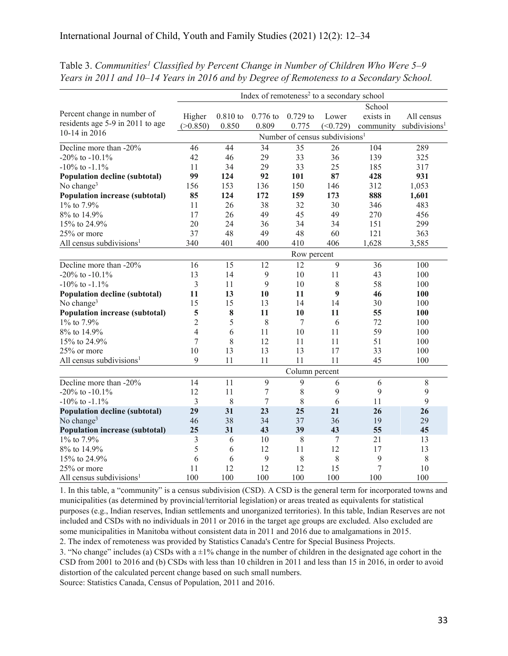|                                       | Index of remoteness <sup>2</sup> to a secondary school |            |                  |            |          |           |                           |  |  |
|---------------------------------------|--------------------------------------------------------|------------|------------------|------------|----------|-----------|---------------------------|--|--|
|                                       | School                                                 |            |                  |            |          |           |                           |  |  |
| Percent change in number of           | Higher                                                 | $0.810$ to | $0.776$ to       | $0.729$ to | Lower    | exists in | All census                |  |  |
| residents age 5-9 in 2011 to age      | (>0.850)                                               | 0.850      | 0.809            | 0.775      | (<0.729) | community | subdivisions <sup>1</sup> |  |  |
| 10-14 in 2016                         | Number of census subdivisions <sup>1</sup>             |            |                  |            |          |           |                           |  |  |
| Decline more than $-20\%$             | 46                                                     | 44         | 34               | 35         | 26       | 104       | 289                       |  |  |
| $-20\%$ to $-10.1\%$                  | 42                                                     | 46         | 29               | 33         | 36       | 139       | 325                       |  |  |
| $-10\%$ to $-1.1\%$                   | 11                                                     | 34         | 29               | 33         | 25       | 185       | 317                       |  |  |
| Population decline (subtotal)         | 99                                                     | 124        | 92               | 101        | 87       | 428       | 931                       |  |  |
| No change <sup>3</sup>                | 156                                                    | 153        | 136              | 150        | 146      | 312       | 1,053                     |  |  |
| <b>Population increase (subtotal)</b> | 85                                                     | 124        | 172              | 159        | 173      | 888       | 1,601                     |  |  |
| 1% to 7.9%                            | 11                                                     | 26         | 38               | 32         | 30       | 346       | 483                       |  |  |
| 8% to 14.9%                           | 17                                                     | 26         | 49               | 45         | 49       | 270       | 456                       |  |  |
| 15% to 24.9%                          | 20                                                     | 24         | 36               | 34         | 34       | 151       | 299                       |  |  |
| 25% or more                           | 37                                                     | 48         | 49               | 48         | 60       | 121       | 363                       |  |  |
| All census subdivisions <sup>1</sup>  | 340                                                    | 401        | 400              | 410        | 406      | 1,628     | 3,585                     |  |  |
|                                       | Row percent                                            |            |                  |            |          |           |                           |  |  |
| Decline more than -20%                | 16                                                     | 15         | 12               | 12         | 9        | 36        | 100                       |  |  |
| $-20\%$ to $-10.1\%$                  | 13                                                     | 14         | 9                | 10         | 11       | 43        | 100                       |  |  |
| $-10\%$ to $-1.1\%$                   | $\mathfrak{Z}$                                         | 11         | 9                | 10         | 8        | 58        | 100                       |  |  |
| <b>Population decline (subtotal)</b>  | 11                                                     | 13         | 10               | 11         | 9        | 46        | 100                       |  |  |
| No change <sup>3</sup>                | 15                                                     | 15         | 13               | 14         | 14       | 30        | 100                       |  |  |
| <b>Population increase (subtotal)</b> | 5                                                      | 8          | 11               | 10         | 11       | 55        | 100                       |  |  |
| 1% to 7.9%                            | $\overline{2}$                                         | 5          | 8                | 7          | 6        | 72        | 100                       |  |  |
| 8% to 14.9%                           | $\overline{4}$                                         | 6          | 11               | 10         | 11       | 59        | 100                       |  |  |
| 15% to 24.9%                          | $\tau$                                                 | 8          | 12               | 11         | 11       | 51        | 100                       |  |  |
| 25% or more                           | 10                                                     | 13         | 13               | 13         | 17       | 33        | 100                       |  |  |
| All census subdivisions <sup>1</sup>  | 9                                                      | 11         | 11               | 11         | 11       | 45        | 100                       |  |  |
|                                       | Column percent                                         |            |                  |            |          |           |                           |  |  |
| Decline more than -20%                | 14                                                     | 11         | 9                | 9          | 6        | 6         | $\,8\,$                   |  |  |
| -20% to -10.1%                        | 12                                                     | 11         | $\boldsymbol{7}$ | 8          | 9        | 9         | 9                         |  |  |
| $-10\%$ to $-1.1\%$                   | $\mathfrak{Z}$                                         | 8          | 7                | 8          | 6        | 11        | 9                         |  |  |
| <b>Population decline (subtotal)</b>  | 29                                                     | 31         | 23               | 25         | 21       | 26        | 26                        |  |  |
| No change <sup>3</sup>                | 46                                                     | 38         | 34               | 37         | 36       | 19        | 29                        |  |  |
| <b>Population increase (subtotal)</b> | 25                                                     | 31         | 43               | 39         | 43       | 55        | 45                        |  |  |
| 1% to 7.9%                            | 3                                                      | 6          | 10               | $\,8\,$    | 7        | 21        | 13                        |  |  |
| 8% to 14.9%                           | 5                                                      | 6          | 12               | 11         | 12       | 17        | 13                        |  |  |
| 15% to 24.9%                          | 6                                                      | 6          | 9                | 8          | 8        | 9         | 8                         |  |  |
| 25% or more                           | 11                                                     | 12         | 12               | 12         | 15       | 7         | 10                        |  |  |
| All census subdivisions <sup>1</sup>  | 100                                                    | 100        | 100              | 100        | 100      | 100       | 100                       |  |  |

Table 3. Communities<sup>1</sup> Classified by Percent Change in Number of Children Who Were 5–9 *Years in 2011 and 10–14 Years in 2016 and by Degree of Remoteness to a Secondary School.*

1. In this table, a "community" is a census subdivision (CSD). A CSD is the general term for incorporated towns and municipalities (as determined by provincial/territorial legislation) or areas treated as equivalents for statistical purposes (e.g., Indian reserves, Indian settlements and unorganized territories). In this table, Indian Reserves are not included and CSDs with no individuals in 2011 or 2016 in the target age groups are excluded. Also excluded are some municipalities in Manitoba without consistent data in 2011 and 2016 due to amalgamations in 2015. 2. The index of remoteness was provided by Statistics Canada's Centre for Special Business Projects.

3. "No change" includes (a) CSDs with a  $\pm 1\%$  change in the number of children in the designated age cohort in the CSD from 2001 to 2016 and (b) CSDs with less than 10 children in 2011 and less than 15 in 2016, in order to avoid distortion of the calculated percent change based on such small numbers. Source: Statistics Canada, Census of Population, 2011 and 2016.